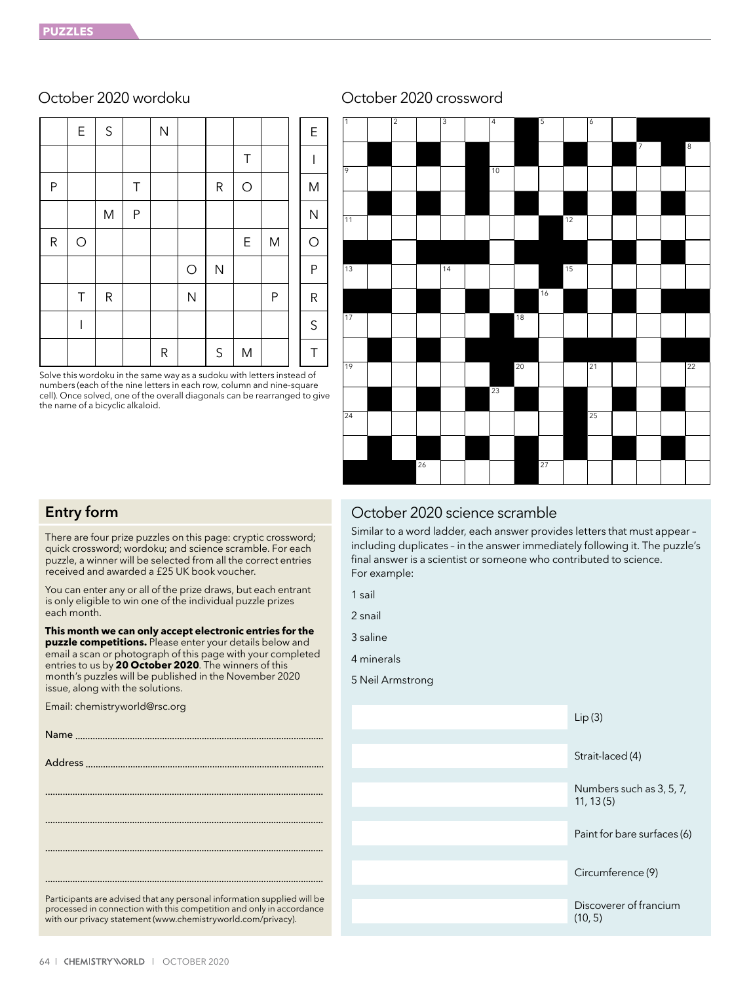|           | E          | $\sf S$ |   | $\mathsf{N}$ |            |             |             |              | E            |
|-----------|------------|---------|---|--------------|------------|-------------|-------------|--------------|--------------|
|           |            |         |   |              |            |             | $\top$      |              |              |
| P         |            |         | Τ |              |            | ${\sf R}$   | $\bigcirc$  |              | M            |
|           |            | M       | P |              |            |             |             |              | $\mathsf{N}$ |
| ${\sf R}$ | $\bigcirc$ |         |   |              |            |             | $\mathsf E$ | M            | $\bigcirc$   |
|           |            |         |   |              | $\bigcirc$ | ${\sf N}$   |             |              | ${\sf P}$    |
|           | Τ          | R       |   |              | N          |             |             | $\mathsf{P}$ | ${\sf R}$    |
|           | I          |         |   |              |            |             |             |              | $\mathsf S$  |
|           |            |         |   | ${\sf R}$    |            | $\mathsf S$ | M           |              | T            |

Solve this wordoku in the same way as a sudoku with letters instead of numbers (each of the nine letters in each row, column and nine-square cell). Once solved, one of the overall diagonals can be rearranged to give the name of a bicyclic alkaloid.

# October 2020 wordoku October 2020 crossword



# Entry form

There are four prize puzzles on this page: cryptic crossword; quick crossword; wordoku; and science scramble. For each puzzle, a winner will be selected from all the correct entries received and awarded a £25 UK book voucher.

You can enter any or all of the prize draws, but each entrant is only eligible to win one of the individual puzzle prizes each month.

**This month we can only accept electronic entries for the puzzle competitions.** Please enter your details below and email a scan or photograph of this page with your completed entries to us by **20 October 2020**. The winners of this month's puzzles will be published in the November 2020 issue, along with the solutions.

Email: chemistryworld@rsc.org

| Participants are advised that any personal information supplied will be<br>processed in connection with this competition and only in accordance<br>with our privacy statement (www.chemistryworld.com/privacy). |
|-----------------------------------------------------------------------------------------------------------------------------------------------------------------------------------------------------------------|

# October 2020 science scramble

Similar to a word ladder, each answer provides letters that must appear – including duplicates – in the answer immediately following it. The puzzle's final answer is a scientist or someone who contributed to science. For example:

- 1 sail
- 2 snail
- 3 saline
- 4 minerals
- 5 Neil Armstrong